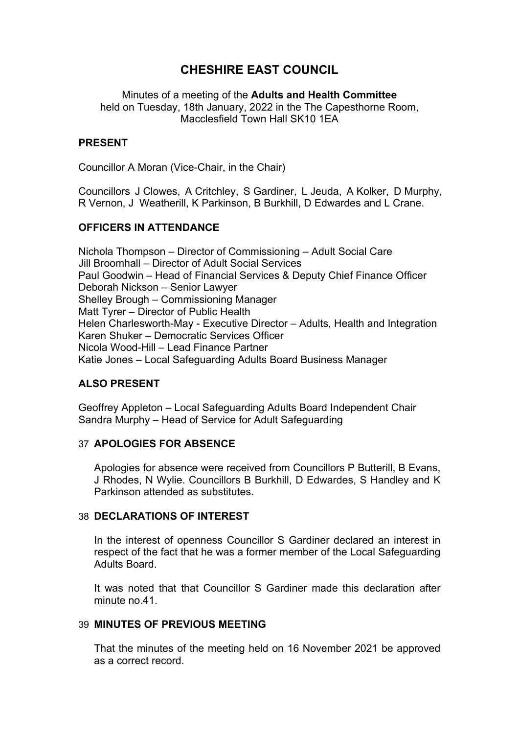# **CHESHIRE EAST COUNCIL**

Minutes of a meeting of the **Adults and Health Committee** held on Tuesday, 18th January, 2022 in the The Capesthorne Room, Macclesfield Town Hall SK10 1EA

## **PRESENT**

Councillor A Moran (Vice-Chair, in the Chair)

Councillors J Clowes, A Critchley, S Gardiner, L Jeuda, A Kolker, D Murphy, R Vernon, J Weatherill, K Parkinson, B Burkhill, D Edwardes and L Crane.

# **OFFICERS IN ATTENDANCE**

Nichola Thompson – Director of Commissioning – Adult Social Care Jill Broomhall – Director of Adult Social Services Paul Goodwin – Head of Financial Services & Deputy Chief Finance Officer Deborah Nickson – Senior Lawyer Shelley Brough – Commissioning Manager Matt Tyrer – Director of Public Health Helen Charlesworth-May - Executive Director – Adults, Health and Integration Karen Shuker – Democratic Services Officer Nicola Wood-Hill – Lead Finance Partner Katie Jones – Local Safeguarding Adults Board Business Manager

# **ALSO PRESENT**

Geoffrey Appleton – Local Safeguarding Adults Board Independent Chair Sandra Murphy – Head of Service for Adult Safeguarding

### 37 **APOLOGIES FOR ABSENCE**

Apologies for absence were received from Councillors P Butterill, B Evans, J Rhodes, N Wylie. Councillors B Burkhill, D Edwardes, S Handley and K Parkinson attended as substitutes.

### 38 **DECLARATIONS OF INTEREST**

In the interest of openness Councillor S Gardiner declared an interest in respect of the fact that he was a former member of the Local Safeguarding Adults Board.

It was noted that that Councillor S Gardiner made this declaration after minute no.41

### 39 **MINUTES OF PREVIOUS MEETING**

That the minutes of the meeting held on 16 November 2021 be approved as a correct record.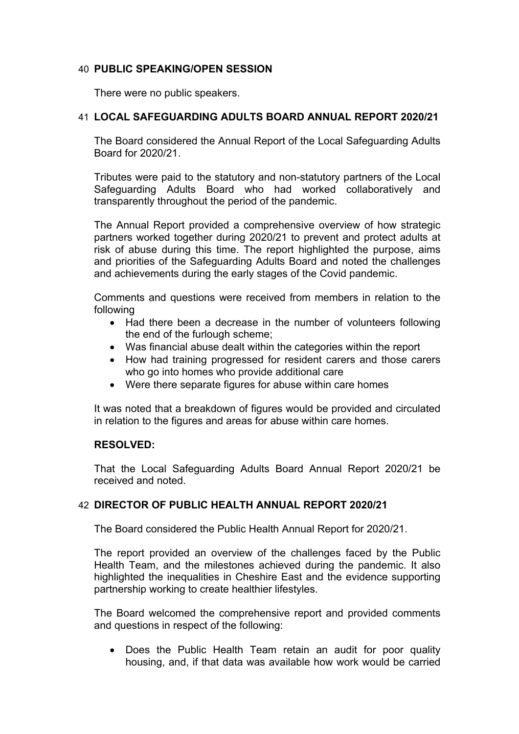# 40 **PUBLIC SPEAKING/OPEN SESSION**

There were no public speakers.

# 41 **LOCAL SAFEGUARDING ADULTS BOARD ANNUAL REPORT 2020/21**

The Board considered the Annual Report of the Local Safeguarding Adults Board for 2020/21.

Tributes were paid to the statutory and non-statutory partners of the Local Safeguarding Adults Board who had worked collaboratively and transparently throughout the period of the pandemic.

The Annual Report provided a comprehensive overview of how strategic partners worked together during 2020/21 to prevent and protect adults at risk of abuse during this time. The report highlighted the purpose, aims and priorities of the Safeguarding Adults Board and noted the challenges and achievements during the early stages of the Covid pandemic.

Comments and questions were received from members in relation to the following

- Had there been a decrease in the number of volunteers following the end of the furlough scheme;
- Was financial abuse dealt within the categories within the report
- How had training progressed for resident carers and those carers who go into homes who provide additional care
- Were there separate figures for abuse within care homes

It was noted that a breakdown of figures would be provided and circulated in relation to the figures and areas for abuse within care homes.

### **RESOLVED:**

That the Local Safeguarding Adults Board Annual Report 2020/21 be received and noted.

### 42 **DIRECTOR OF PUBLIC HEALTH ANNUAL REPORT 2020/21**

The Board considered the Public Health Annual Report for 2020/21.

The report provided an overview of the challenges faced by the Public Health Team, and the milestones achieved during the pandemic. It also highlighted the inequalities in Cheshire East and the evidence supporting partnership working to create healthier lifestyles.

The Board welcomed the comprehensive report and provided comments and questions in respect of the following:

 Does the Public Health Team retain an audit for poor quality housing, and, if that data was available how work would be carried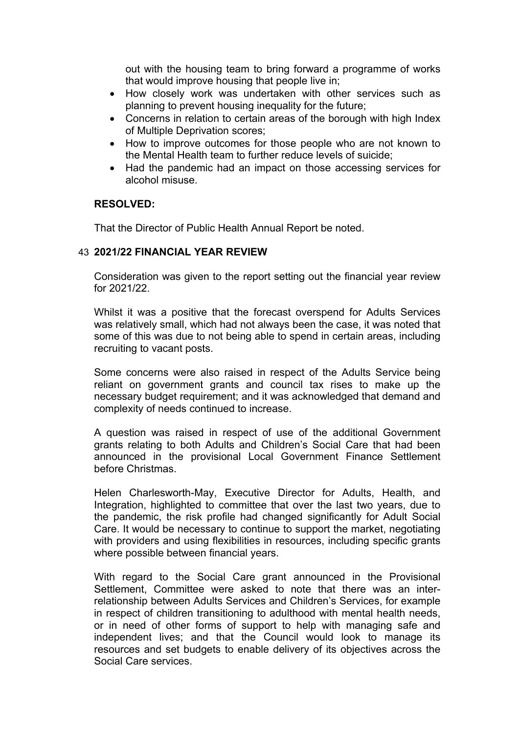out with the housing team to bring forward a programme of works that would improve housing that people live in;

- How closely work was undertaken with other services such as planning to prevent housing inequality for the future;
- Concerns in relation to certain areas of the borough with high Index of Multiple Deprivation scores;
- How to improve outcomes for those people who are not known to the Mental Health team to further reduce levels of suicide;
- Had the pandemic had an impact on those accessing services for alcohol misuse.

### **RESOLVED:**

That the Director of Public Health Annual Report be noted.

### 43 **2021/22 FINANCIAL YEAR REVIEW**

Consideration was given to the report setting out the financial year review for 2021/22.

Whilst it was a positive that the forecast overspend for Adults Services was relatively small, which had not always been the case, it was noted that some of this was due to not being able to spend in certain areas, including recruiting to vacant posts.

Some concerns were also raised in respect of the Adults Service being reliant on government grants and council tax rises to make up the necessary budget requirement; and it was acknowledged that demand and complexity of needs continued to increase.

A question was raised in respect of use of the additional Government grants relating to both Adults and Children's Social Care that had been announced in the provisional Local Government Finance Settlement before Christmas.

Helen Charlesworth-May, Executive Director for Adults, Health, and Integration, highlighted to committee that over the last two years, due to the pandemic, the risk profile had changed significantly for Adult Social Care. It would be necessary to continue to support the market, negotiating with providers and using flexibilities in resources, including specific grants where possible between financial years.

With regard to the Social Care grant announced in the Provisional Settlement, Committee were asked to note that there was an interrelationship between Adults Services and Children's Services, for example in respect of children transitioning to adulthood with mental health needs, or in need of other forms of support to help with managing safe and independent lives; and that the Council would look to manage its resources and set budgets to enable delivery of its objectives across the Social Care services.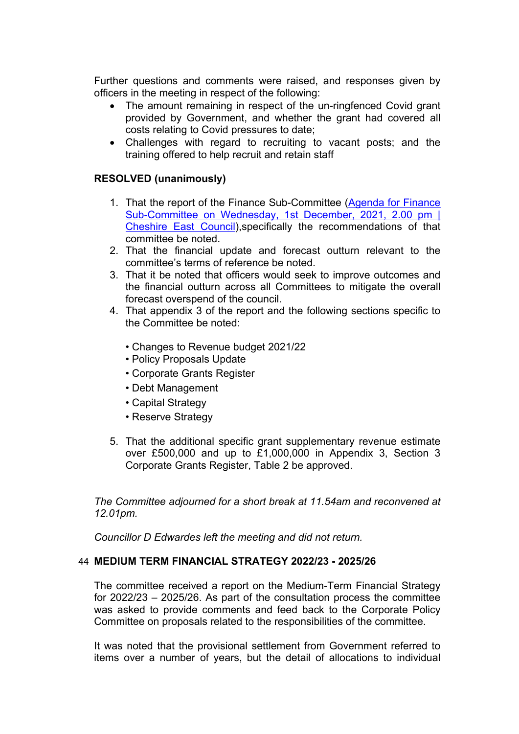Further questions and comments were raised, and responses given by officers in the meeting in respect of the following:

- The amount remaining in respect of the un-ringfenced Covid grant provided by Government, and whether the grant had covered all costs relating to Covid pressures to date;
- Challenges with regard to recruiting to vacant posts; and the training offered to help recruit and retain staff

# **RESOLVED (unanimously)**

- 1. That the report of the Finance Sub-Committee (Agenda for [Finance](http://moderngov.cheshireeast.gov.uk/ecminutes/ieListDocuments.aspx?CId=965&MId=9031&Ver=4) [Sub-Committee](http://moderngov.cheshireeast.gov.uk/ecminutes/ieListDocuments.aspx?CId=965&MId=9031&Ver=4) on Wednesday, 1st December, 2021, 2.00 pm | [Cheshire](http://moderngov.cheshireeast.gov.uk/ecminutes/ieListDocuments.aspx?CId=965&MId=9031&Ver=4) East Council),specifically the recommendations of that committee be noted.
- 2. That the financial update and forecast outturn relevant to the committee's terms of reference be noted.
- 3. That it be noted that officers would seek to improve outcomes and the financial outturn across all Committees to mitigate the overall forecast overspend of the council.
- 4. That appendix 3 of the report and the following sections specific to the Committee be noted:
	- Changes to Revenue budget 2021/22
	- Policy Proposals Update
	- Corporate Grants Register
	- Debt Management
	- Capital Strategy
	- Reserve Strategy
- 5. That the additional specific grant supplementary revenue estimate over £500,000 and up to £1,000,000 in Appendix 3, Section 3 Corporate Grants Register, Table 2 be approved.

*The Committee adjourned for a short break at 11.54am and reconvened at 12.01pm.*

*Councillor D Edwardes left the meeting and did not return.*

#### 44 **MEDIUM TERM FINANCIAL STRATEGY 2022/23 - 2025/26**

The committee received a report on the Medium-Term Financial Strategy for 2022/23 – 2025/26. As part of the consultation process the committee was asked to provide comments and feed back to the Corporate Policy Committee on proposals related to the responsibilities of the committee.

It was noted that the provisional settlement from Government referred to items over a number of years, but the detail of allocations to individual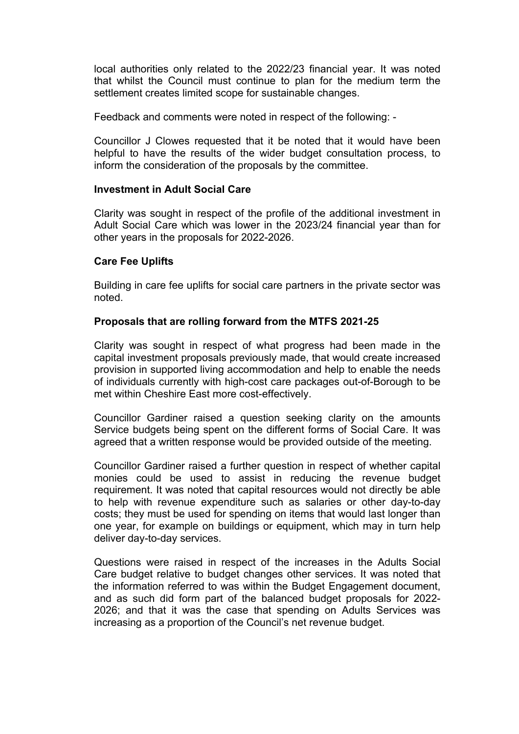local authorities only related to the 2022/23 financial year. It was noted that whilst the Council must continue to plan for the medium term the settlement creates limited scope for sustainable changes.

Feedback and comments were noted in respect of the following: -

Councillor J Clowes requested that it be noted that it would have been helpful to have the results of the wider budget consultation process, to inform the consideration of the proposals by the committee.

### **Investment in Adult Social Care**

Clarity was sought in respect of the profile of the additional investment in Adult Social Care which was lower in the 2023/24 financial year than for other years in the proposals for 2022-2026.

### **Care Fee Uplifts**

Building in care fee uplifts for social care partners in the private sector was noted.

### **Proposals that are rolling forward from the MTFS 2021-25**

Clarity was sought in respect of what progress had been made in the capital investment proposals previously made, that would create increased provision in supported living accommodation and help to enable the needs of individuals currently with high-cost care packages out-of-Borough to be met within Cheshire East more cost-effectively.

Councillor Gardiner raised a question seeking clarity on the amounts Service budgets being spent on the different forms of Social Care. It was agreed that a written response would be provided outside of the meeting.

Councillor Gardiner raised a further question in respect of whether capital monies could be used to assist in reducing the revenue budget requirement. It was noted that capital resources would not directly be able to help with revenue expenditure such as salaries or other day-to-day costs; they must be used for spending on items that would last longer than one year, for example on buildings or equipment, which may in turn help deliver day-to-day services.

Questions were raised in respect of the increases in the Adults Social Care budget relative to budget changes other services. It was noted that the information referred to was within the Budget Engagement document, and as such did form part of the balanced budget proposals for 2022- 2026; and that it was the case that spending on Adults Services was increasing as a proportion of the Council's net revenue budget.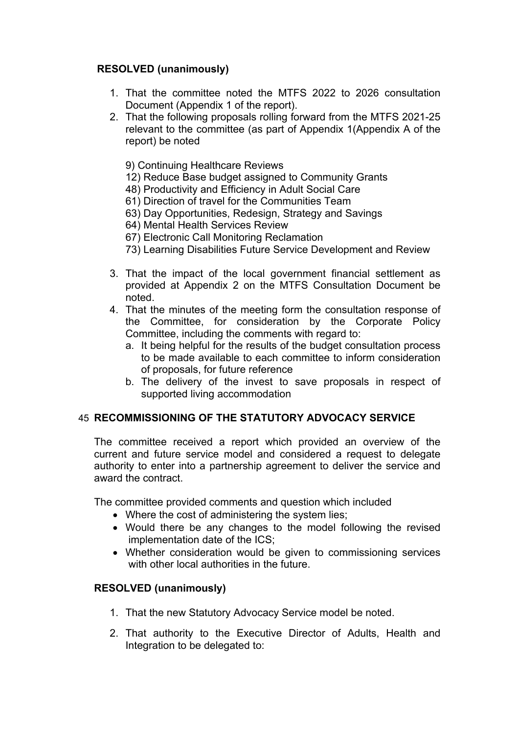# **RESOLVED (unanimously)**

- 1. That the committee noted the MTFS 2022 to 2026 consultation Document (Appendix 1 of the report).
- 2. That the following proposals rolling forward from the MTFS 2021-25 relevant to the committee (as part of Appendix 1(Appendix A of the report) be noted
	- 9) Continuing Healthcare Reviews
	- 12) Reduce Base budget assigned to Community Grants
	- 48) Productivity and Efficiency in Adult Social Care
	- 61) Direction of travel for the Communities Team
	- 63) Day Opportunities, Redesign, Strategy and Savings
	- 64) Mental Health Services Review
	- 67) Electronic Call Monitoring Reclamation
	- 73) Learning Disabilities Future Service Development and Review
- 3. That the impact of the local government financial settlement as provided at Appendix 2 on the MTFS Consultation Document be noted.
- 4. That the minutes of the meeting form the consultation response of the Committee, for consideration by the Corporate Policy Committee, including the comments with regard to:
	- a. It being helpful for the results of the budget consultation process to be made available to each committee to inform consideration of proposals, for future reference
	- b. The delivery of the invest to save proposals in respect of supported living accommodation

### 45 **RECOMMISSIONING OF THE STATUTORY ADVOCACY SERVICE**

The committee received a report which provided an overview of the current and future service model and considered a request to delegate authority to enter into a partnership agreement to deliver the service and award the contract.

The committee provided comments and question which included

- Where the cost of administering the system lies;
- Would there be any changes to the model following the revised implementation date of the ICS;
- Whether consideration would be given to commissioning services with other local authorities in the future.

### **RESOLVED (unanimously)**

- 1. That the new Statutory Advocacy Service model be noted.
- 2. That authority to the Executive Director of Adults, Health and Integration to be delegated to: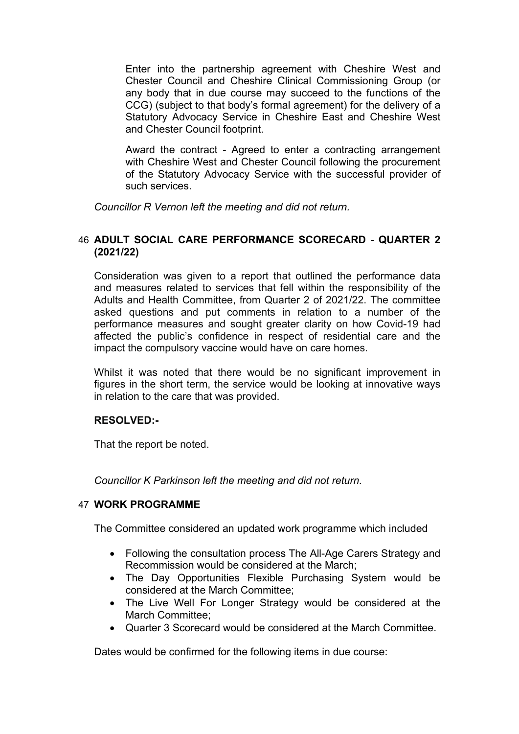Enter into the partnership agreement with Cheshire West and Chester Council and Cheshire Clinical Commissioning Group (or any body that in due course may succeed to the functions of the CCG) (subject to that body's formal agreement) for the delivery of a Statutory Advocacy Service in Cheshire East and Cheshire West and Chester Council footprint.

Award the contract - Agreed to enter a contracting arrangement with Cheshire West and Chester Council following the procurement of the Statutory Advocacy Service with the successful provider of such services.

*Councillor R Vernon left the meeting and did not return.*

### 46 **ADULT SOCIAL CARE PERFORMANCE SCORECARD - QUARTER 2 (2021/22)**

Consideration was given to a report that outlined the performance data and measures related to services that fell within the responsibility of the Adults and Health Committee, from Quarter 2 of 2021/22. The committee asked questions and put comments in relation to a number of the performance measures and sought greater clarity on how Covid-19 had affected the public's confidence in respect of residential care and the impact the compulsory vaccine would have on care homes.

Whilst it was noted that there would be no significant improvement in figures in the short term, the service would be looking at innovative ways in relation to the care that was provided.

### **RESOLVED:-**

That the report be noted.

*Councillor K Parkinson left the meeting and did not return.*

### 47 **WORK PROGRAMME**

The Committee considered an updated work programme which included

- Following the consultation process The All-Age Carers Strategy and Recommission would be considered at the March;
- The Day Opportunities Flexible Purchasing System would be considered at the March Committee;
- The Live Well For Longer Strategy would be considered at the March Committee;
- Quarter 3 Scorecard would be considered at the March Committee.

Dates would be confirmed for the following items in due course: